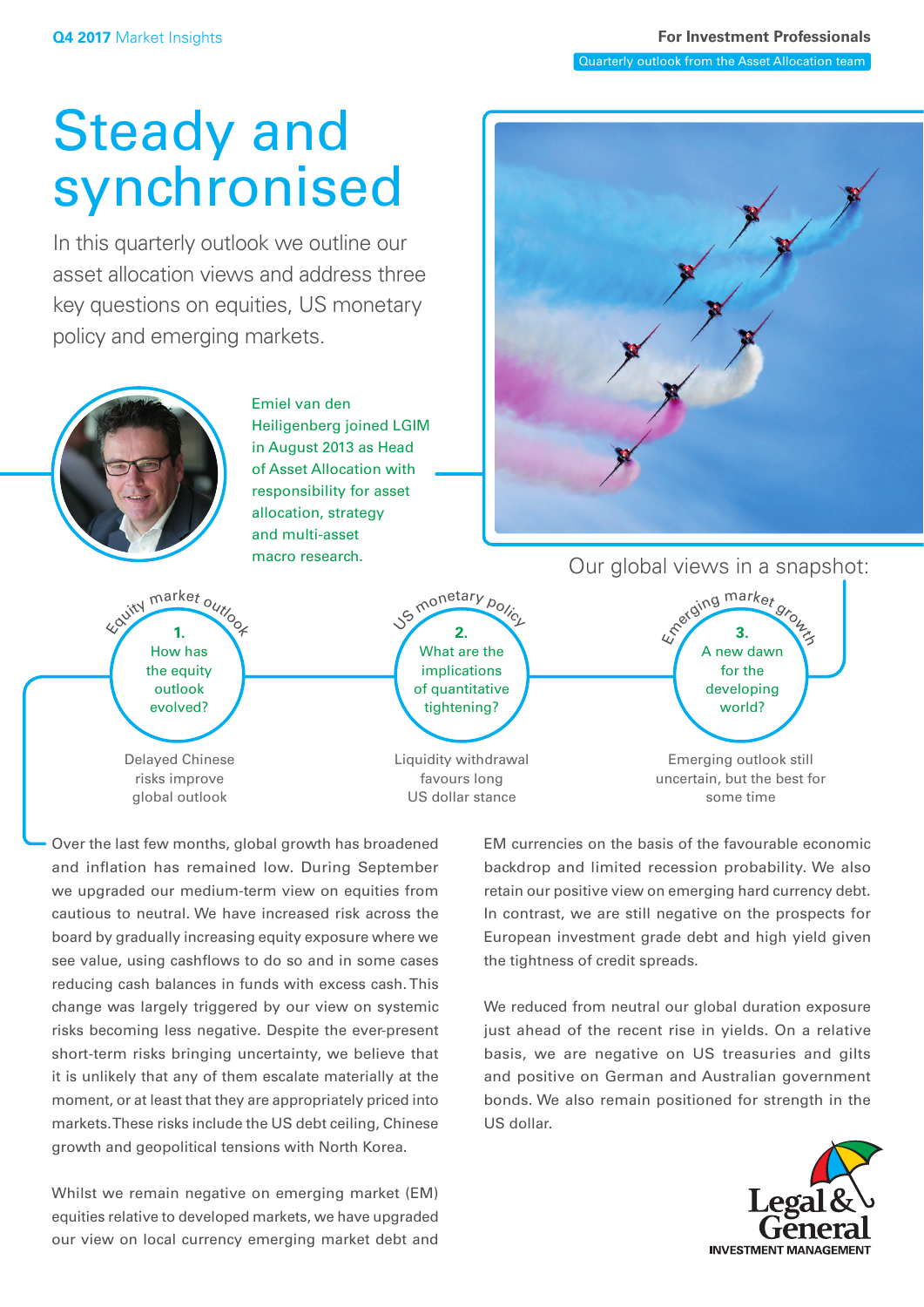# Steady and synchronised

In this quarterly outlook we outline our asset allocation views and address three key questions on equities, US monetary policy and emerging markets.



Over the last few months, global growth has broadened and inflation has remained low. During September we upgraded our medium-term view on equities from cautious to neutral. We have increased risk across the board by gradually increasing equity exposure where we see value, using cashflows to do so and in some cases reducing cash balances in funds with excess cash. This change was largely triggered by our view on systemic risks becoming less negative. Despite the ever-present short-term risks bringing uncertainty, we believe that it is unlikely that any of them escalate materially at the moment, or at least that they are appropriately priced into markets. These risks include the US debt ceiling, Chinese growth and geopolitical tensions with North Korea.

Whilst we remain negative on emerging market (EM) equities relative to developed markets, we have upgraded our view on local currency emerging market debt and

EM currencies on the basis of the favourable economic backdrop and limited recession probability. We also retain our positive view on emerging hard currency debt. In contrast, we are still negative on the prospects for European investment grade debt and high yield given the tightness of credit spreads.

We reduced from neutral our global duration exposure just ahead of the recent rise in yields. On a relative basis, we are negative on US treasuries and gilts and positive on German and Australian government bonds. We also remain positioned for strength in the US dollar.

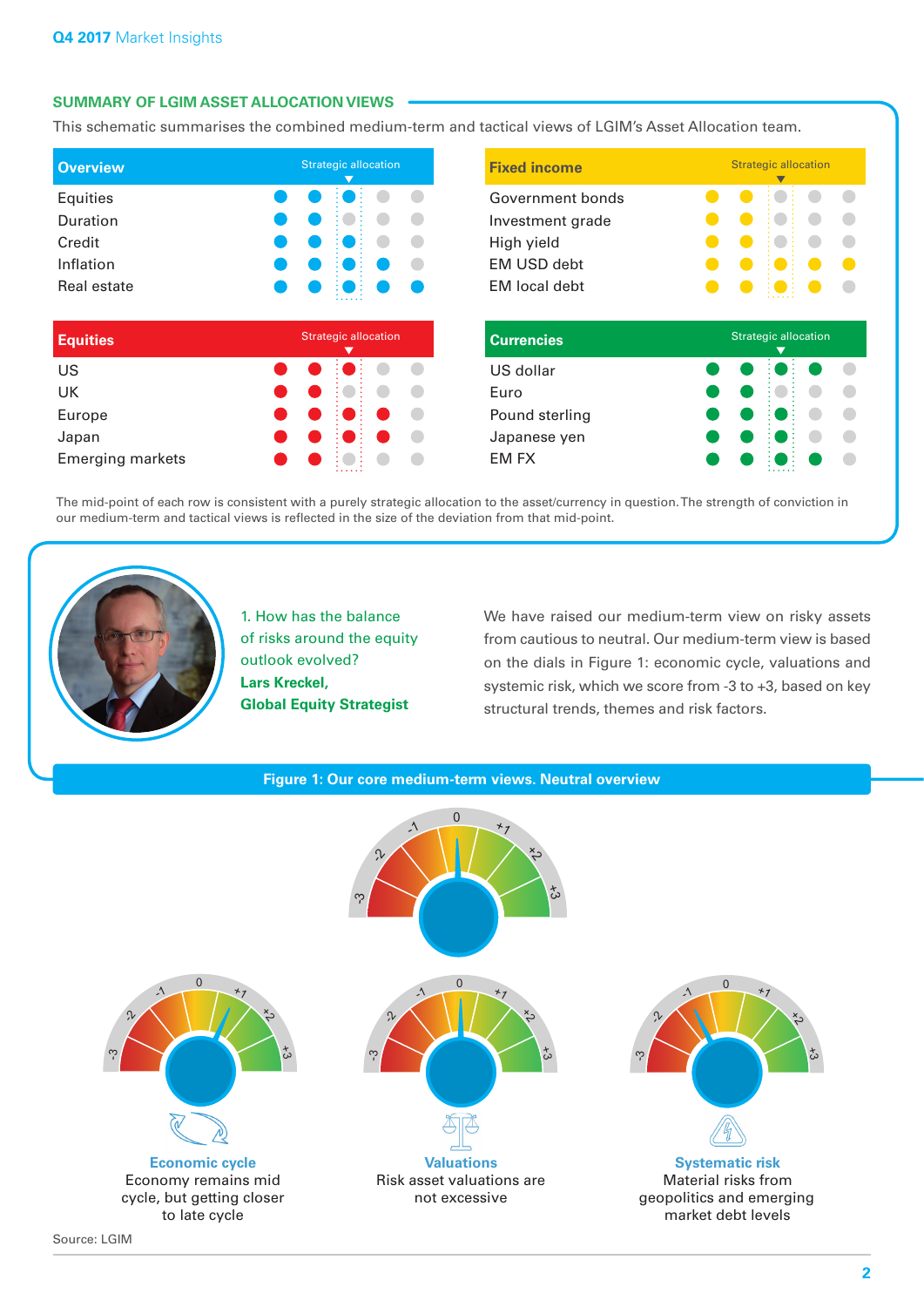## **SUMMARY OF LGIM ASSET ALLOCATION VIEWS**

This schematic summarises the combined medium-term and tactical views of LGIM's Asset Allocation team.

| <b>Overview</b> | <b>Strategic allocation</b> |  |  |  |
|-----------------|-----------------------------|--|--|--|
| Equities        |                             |  |  |  |
| Duration        |                             |  |  |  |
| Credit          |                             |  |  |  |
| Inflation       |                             |  |  |  |
| Real estate     |                             |  |  |  |
|                 |                             |  |  |  |
| <b>Equities</b> | <b>Strategic allocation</b> |  |  |  |
| US              |                             |  |  |  |
| UK              |                             |  |  |  |

| UΚ                      | <b>. .</b> |                                                                                                               |  |
|-------------------------|------------|---------------------------------------------------------------------------------------------------------------|--|
| Europe                  |            |                                                                                                               |  |
| Japan                   |            |                                                                                                               |  |
| <b>Emerging markets</b> |            | $\bullet\hspace{0.4cm} \bullet\hspace{0.4cm}:\bullet\hspace{0.4cm}\bullet\hspace{0.4cm}\bullet\hspace{0.4cm}$ |  |

| <b>Strategic allocation</b> | <b>Fixed income</b>                                                                              | <b>Strategic allocation</b> |  |
|-----------------------------|--------------------------------------------------------------------------------------------------|-----------------------------|--|
|                             | Government bonds<br>Investment grade<br>High yield<br><b>EM USD debt</b><br><b>EM</b> local debt |                             |  |
| <b>Strategic allocation</b> | <b>Currencies</b>                                                                                | <b>Strategic allocation</b> |  |
|                             | US dollar<br>Euro<br>Pound sterling<br>Japanese yen<br><b>EM FX</b>                              |                             |  |

The mid-point of each row is consistent with a purely strategic allocation to the asset/currency in question. The strength of conviction in our medium-term and tactical views is reflected in the size of the deviation from that mid-point.



1. How has the balance of risks around the equity outlook evolved? **Lars Kreckel, Global Equity Strategist**

We have raised our medium-term view on risky assets from cautious to neutral. Our medium-term view is based on the dials in Figure 1: economic cycle, valuations and systemic risk, which we score from -3 to +3, based on key structural trends, themes and risk factors.



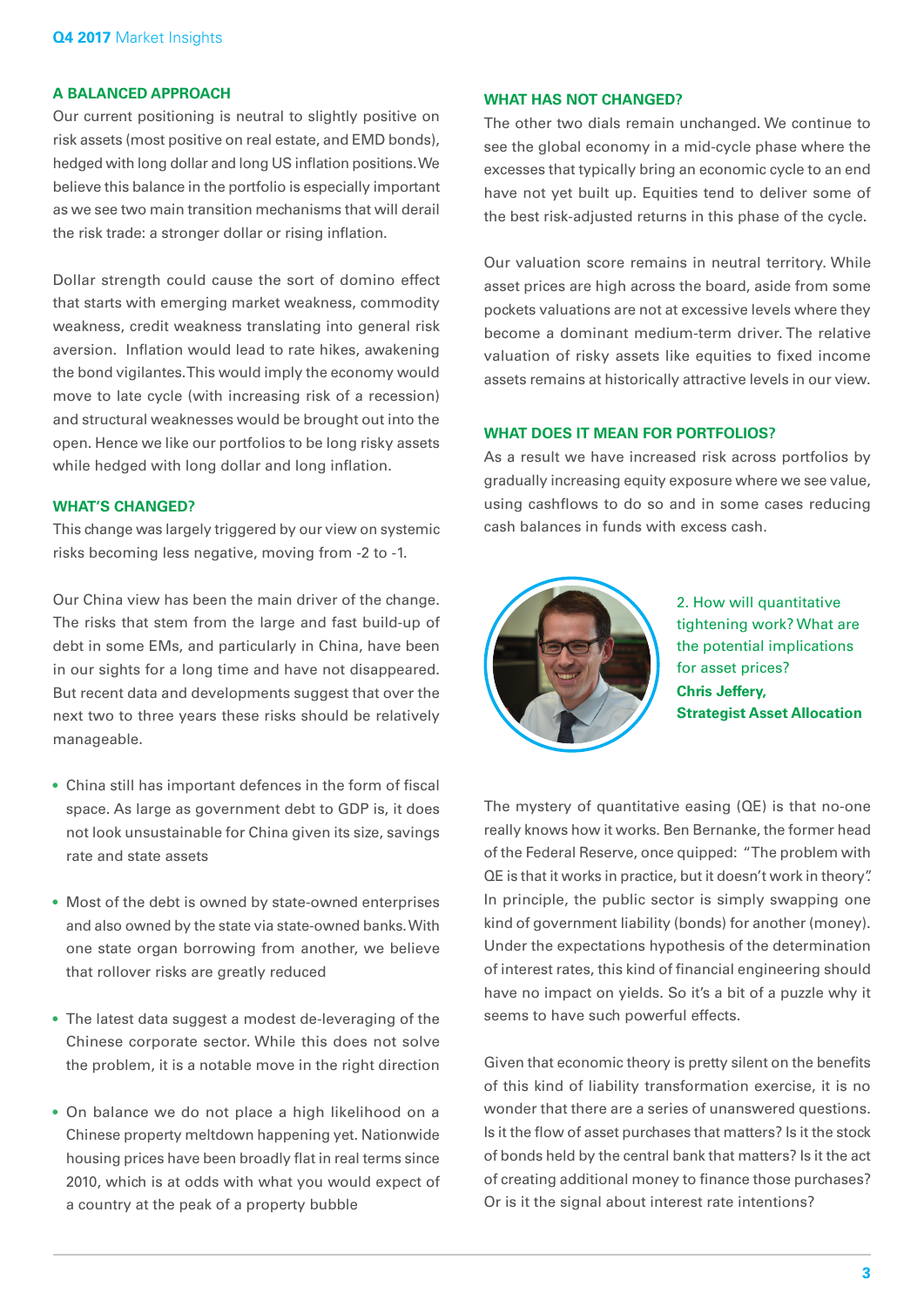### **A BALANCED APPROACH**

Our current positioning is neutral to slightly positive on risk assets (most positive on real estate, and EMD bonds), hedged with long dollar and long US inflation positions. We believe this balance in the portfolio is especially important as we see two main transition mechanisms that will derail the risk trade: a stronger dollar or rising inflation.

Dollar strength could cause the sort of domino effect that starts with emerging market weakness, commodity weakness, credit weakness translating into general risk aversion. Inflation would lead to rate hikes, awakening the bond vigilantes. This would imply the economy would move to late cycle (with increasing risk of a recession) and structural weaknesses would be brought out into the open. Hence we like our portfolios to be long risky assets while hedged with long dollar and long inflation.

#### **WHAT'S CHANGED?**

This change was largely triggered by our view on systemic risks becoming less negative, moving from -2 to -1.

Our China view has been the main driver of the change. The risks that stem from the large and fast build-up of debt in some EMs, and particularly in China, have been in our sights for a long time and have not disappeared. But recent data and developments suggest that over the next two to three years these risks should be relatively manageable.

- China still has important defences in the form of fiscal space. As large as government debt to GDP is, it does not look unsustainable for China given its size, savings rate and state assets
- Most of the debt is owned by state-owned enterprises and also owned by the state via state-owned banks. With one state organ borrowing from another, we believe that rollover risks are greatly reduced
- The latest data suggest a modest de-leveraging of the Chinese corporate sector. While this does not solve the problem, it is a notable move in the right direction
- On balance we do not place a high likelihood on a Chinese property meltdown happening yet. Nationwide housing prices have been broadly flat in real terms since 2010, which is at odds with what you would expect of a country at the peak of a property bubble

#### **WHAT HAS NOT CHANGED?**

The other two dials remain unchanged. We continue to see the global economy in a mid-cycle phase where the excesses that typically bring an economic cycle to an end have not yet built up. Equities tend to deliver some of the best risk-adjusted returns in this phase of the cycle.

Our valuation score remains in neutral territory. While asset prices are high across the board, aside from some pockets valuations are not at excessive levels where they become a dominant medium-term driver. The relative valuation of risky assets like equities to fixed income assets remains at historically attractive levels in our view.

#### **WHAT DOES IT MEAN FOR PORTFOLIOS?**

As a result we have increased risk across portfolios by gradually increasing equity exposure where we see value, using cashflows to do so and in some cases reducing cash balances in funds with excess cash.



2. How will quantitative tightening work? What are the potential implications for asset prices? **Chris Jeffery, Strategist Asset Allocation**

The mystery of quantitative easing (QE) is that no-one really knows how it works. Ben Bernanke, the former head of the Federal Reserve, once quipped: "The problem with QE is that it works in practice, but it doesn't work in theory". In principle, the public sector is simply swapping one kind of government liability (bonds) for another (money). Under the expectations hypothesis of the determination of interest rates, this kind of financial engineering should have no impact on yields. So it's a bit of a puzzle why it seems to have such powerful effects.

Given that economic theory is pretty silent on the benefits of this kind of liability transformation exercise, it is no wonder that there are a series of unanswered questions. Is it the flow of asset purchases that matters? Is it the stock of bonds held by the central bank that matters? Is it the act of creating additional money to finance those purchases? Or is it the signal about interest rate intentions?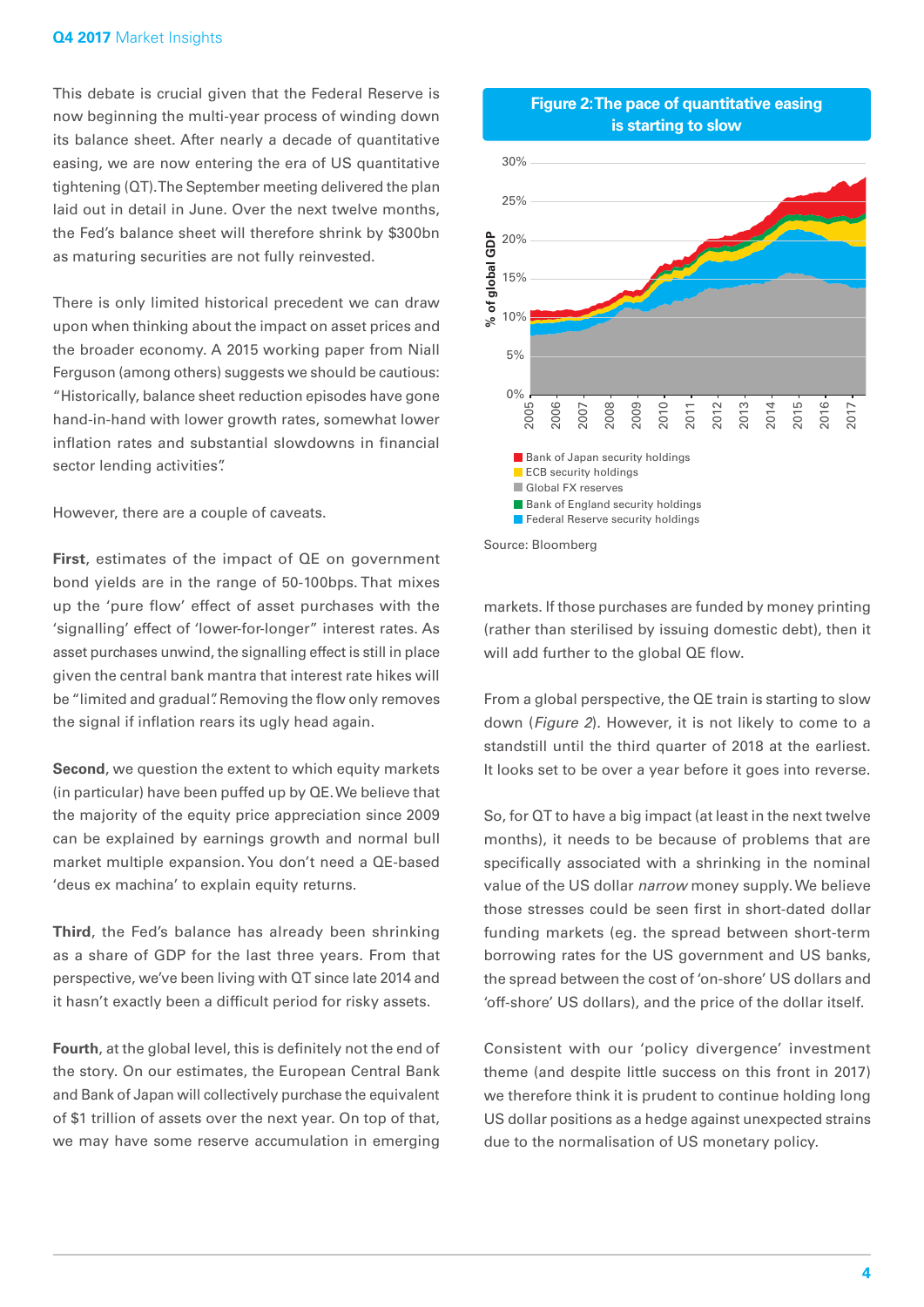#### **Q4 2017** Market Insights

This debate is crucial given that the Federal Reserve is now beginning the multi-year process of winding down its balance sheet. After nearly a decade of quantitative easing, we are now entering the era of US quantitative tightening (QT). The September meeting delivered the plan laid out in detail in June. Over the next twelve months, the Fed's balance sheet will therefore shrink by \$300bn as maturing securities are not fully reinvested.

There is only limited historical precedent we can draw upon when thinking about the impact on asset prices and the broader economy. A 2015 working paper from Niall Ferguson (among others) suggests we should be cautious: "Historically, balance sheet reduction episodes have gone hand-in-hand with lower growth rates, somewhat lower inflation rates and substantial slowdowns in financial sector lending activities".

However, there are a couple of caveats.

**First**, estimates of the impact of QE on government bond yields are in the range of 50-100bps. That mixes up the 'pure flow' effect of asset purchases with the 'signalling' effect of 'lower-for-longer" interest rates. As asset purchases unwind, the signalling effect is still in place given the central bank mantra that interest rate hikes will be "limited and gradual". Removing the flow only removes the signal if inflation rears its ugly head again.

**Second**, we question the extent to which equity markets (in particular) have been puffed up by QE. We believe that the majority of the equity price appreciation since 2009 can be explained by earnings growth and normal bull market multiple expansion. You don't need a QE-based 'deus ex machina' to explain equity returns.

**Third**, the Fed's balance has already been shrinking as a share of GDP for the last three years. From that perspective, we've been living with QT since late 2014 and it hasn't exactly been a difficult period for risky assets.

**Fourth**, at the global level, this is definitely not the end of the story. On our estimates, the European Central Bank and Bank of Japan will collectively purchase the equivalent of \$1 trillion of assets over the next year. On top of that, we may have some reserve accumulation in emerging



markets. If those purchases are funded by money printing (rather than sterilised by issuing domestic debt), then it will add further to the global QE flow.

From a global perspective, the QE train is starting to slow down (*Figure 2*). However, it is not likely to come to a standstill until the third quarter of 2018 at the earliest. It looks set to be over a year before it goes into reverse.

So, for QT to have a big impact (at least in the next twelve months), it needs to be because of problems that are specifically associated with a shrinking in the nominal value of the US dollar *narrow* money supply. We believe those stresses could be seen first in short-dated dollar funding markets (eg. the spread between short-term borrowing rates for the US government and US banks, the spread between the cost of 'on-shore' US dollars and 'off-shore' US dollars), and the price of the dollar itself.

Consistent with our 'policy divergence' investment theme (and despite little success on this front in 2017) we therefore think it is prudent to continue holding long US dollar positions as a hedge against unexpected strains due to the normalisation of US monetary policy.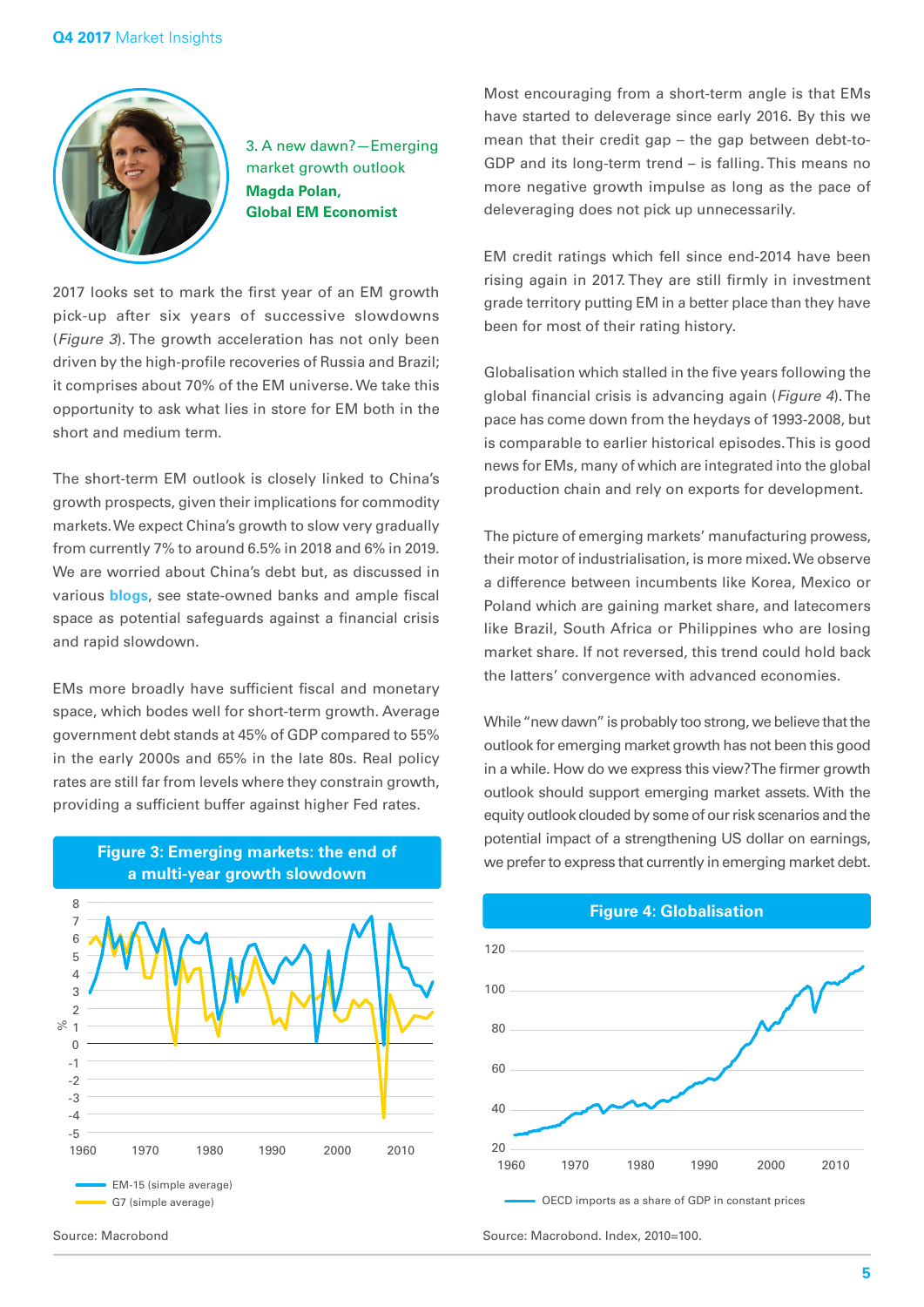

3. A new dawn?—Emerging market growth outlook **Magda Polan, Global EM Economist**

2017 looks set to mark the first year of an EM growth pick-up after six years of successive slowdowns (*Figure 3*). The growth acceleration has not only been driven by the high-profile recoveries of Russia and Brazil; it comprises about 70% of the EM universe. We take this opportunity to ask what lies in store for EM both in the short and medium term.

The short-term EM outlook is closely linked to China's growth prospects, given their implications for commodity markets. We expect China's growth to slow very gradually from currently 7% to around 6.5% in 2018 and 6% in 2019. We are worried about China's debt but, as discussed in various **[blogs](https://macromatters.lgim.com/)**, see state-owned banks and ample fiscal space as potential safeguards against a financial crisis and rapid slowdown.

EMs more broadly have sufficient fiscal and monetary space, which bodes well for short-term growth. Average government debt stands at 45% of GDP compared to 55% in the early 2000s and 65% in the late 80s. Real policy rates are still far from levels where they constrain growth, providing a sufficient buffer against higher Fed rates.





Most encouraging from a short-term angle is that EMs have started to deleverage since early 2016. By this we mean that their credit gap – the gap between debt-to-GDP and its long-term trend – is falling. This means no more negative growth impulse as long as the pace of deleveraging does not pick up unnecessarily.

EM credit ratings which fell since end-2014 have been rising again in 2017. They are still firmly in investment grade territory putting EM in a better place than they have been for most of their rating history.

Globalisation which stalled in the five years following the global financial crisis is advancing again (*Figure 4*). The pace has come down from the heydays of 1993-2008, but is comparable to earlier historical episodes. This is good news for EMs, many of which are integrated into the global production chain and rely on exports for development.

The picture of emerging markets' manufacturing prowess, their motor of industrialisation, is more mixed. We observe a difference between incumbents like Korea, Mexico or Poland which are gaining market share, and latecomers like Brazil, South Africa or Philippines who are losing market share. If not reversed, this trend could hold back the latters' convergence with advanced economies.

While "new dawn" is probably too strong, we believe that the outlook for emerging market growth has not been this good in a while. How do we express this view? The firmer growth outlook should support emerging market assets. With the equity outlook clouded by some of our risk scenarios and the potential impact of a strengthening US dollar on earnings, we prefer to express that currently in emerging market debt.



#### **Figure 4: Globalisation**

Source: Macrobond Source: Macrobond. Index, 2010=100.